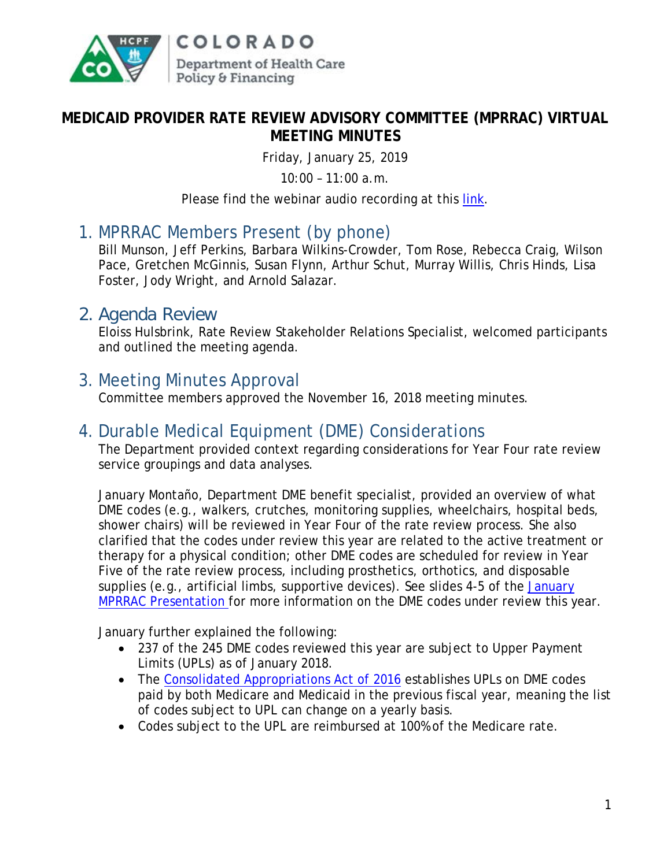

#### **MEDICAID PROVIDER RATE REVIEW ADVISORY COMMITTEE (MPRRAC) VIRTUAL MEETING MINUTES**

Friday, January 25, 2019

10:00 – 11:00 a.m.

Please find the webinar audio recording at this [link.](https://cohcpf.adobeconnect.com/pajx9o09y3uo)

# 1. MPRRAC Members Present (by phone)

Bill Munson, Jeff Perkins, Barbara Wilkins-Crowder, Tom Rose, Rebecca Craig, Wilson Pace, Gretchen McGinnis, Susan Flynn, Arthur Schut, Murray Willis, Chris Hinds, Lisa Foster, Jody Wright, and Arnold Salazar.

#### 2. Agenda Review

Eloiss Hulsbrink, Rate Review Stakeholder Relations Specialist, welcomed participants and outlined the meeting agenda.

### 3. Meeting Minutes Approval

Committee members approved the November 16, 2018 meeting minutes.

#### 4. Durable Medical Equipment (DME) Considerations

The Department provided context regarding considerations for Year Four rate review service groupings and data analyses.

January Montaño, Department DME benefit specialist, provided an overview of what DME codes (e.g., walkers, crutches, monitoring supplies, wheelchairs, hospital beds, shower chairs) will be reviewed in Year Four of the rate review process. She also clarified that the codes under review this year are related to the active treatment or therapy for a physical condition; other DME codes are scheduled for review in Year Five of the rate review process, including prosthetics, orthotics, and disposable supplies (e.g., artificial limbs, supportive devices). See slides 4-5 of the January [MPRRAC Presentation](https://www.colorado.gov/pacific/sites/default/files/MPRRACSlidesY4_DME_25Jan2019%20-Final.pdf) for more information on the DME codes under review this year.

January further explained the following:

- 237 of the 245 DME codes reviewed this year are subject to Upper Payment Limits (UPLs) as of January 2018.
- The Consolidated [Appropriations Act of 2016](https://www.congress.gov/114/plaws/publ113/PLAW-114publ113.pdf) establishes UPLs on DME codes paid by both Medicare and Medicaid in the previous fiscal year, meaning the list of codes subject to UPL can change on a yearly basis.
- Codes subject to the UPL are reimbursed at 100% of the Medicare rate.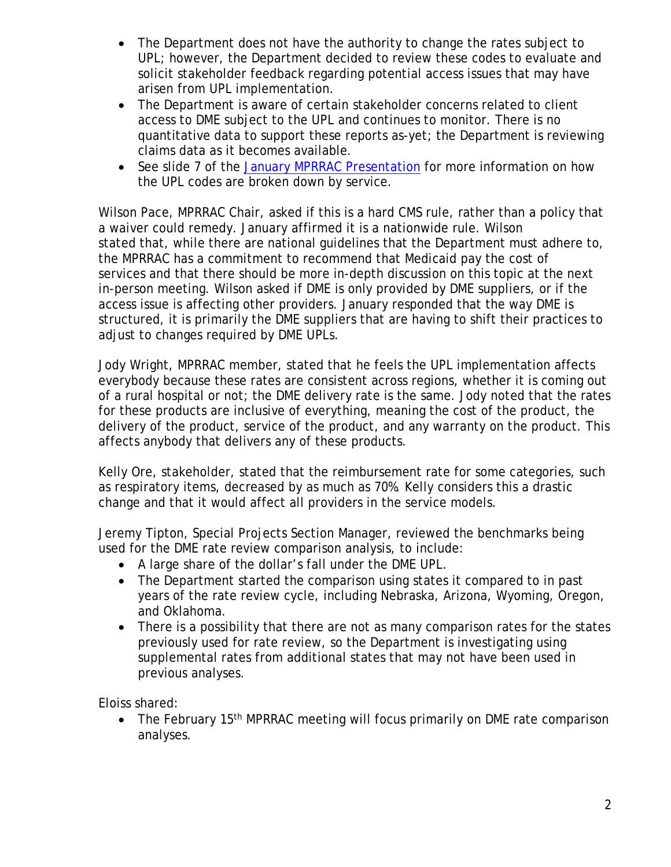- The Department does not have the authority to change the rates subject to UPL; however, the Department decided to review these codes to evaluate and solicit stakeholder feedback regarding potential access issues that may have arisen from UPL implementation.
- The Department is aware of certain stakeholder concerns related to client access to DME subject to the UPL and continues to monitor. There is no quantitative data to support these reports as-yet; the Department is reviewing claims data as it becomes available.
- See slide 7 of the [January MPRRAC Presentation](https://www.colorado.gov/pacific/sites/default/files/MPRRACSlidesY4_DME_25Jan2019%20-Final.pdf) for more information on how the UPL codes are broken down by service.

Wilson Pace, MPRRAC Chair, asked if this is a hard CMS rule, rather than a policy that a waiver could remedy. January affirmed it is a nationwide rule. Wilson stated that, while there are national guidelines that the Department must adhere to, the MPRRAC has a commitment to recommend that Medicaid pay the cost of services and that there should be more in-depth discussion on this topic at the next in-person meeting. Wilson asked if DME is only provided by DME suppliers, or if the access issue is affecting other providers. January responded that the way DME is structured, it is primarily the DME suppliers that are having to shift their practices to adjust to changes required by DME UPLs.

Jody Wright, MPRRAC member, stated that he feels the UPL implementation affects everybody because these rates are consistent across regions, whether it is coming out of a rural hospital or not; the DME delivery rate is the same. Jody noted that the rates for these products are inclusive of everything, meaning the cost of the product, the delivery of the product, service of the product, and any warranty on the product. This affects anybody that delivers any of these products.

Kelly Ore, stakeholder, stated that the reimbursement rate for some categories, such as respiratory items, decreased by as much as 70%. Kelly considers this a drastic change and that it would affect all providers in the service models.

Jeremy Tipton, Special Projects Section Manager, reviewed the benchmarks being used for the DME rate review comparison analysis, to include:

- A large share of the dollar's fall under the DME UPL.
- The Department started the comparison using states it compared to in past years of the rate review cycle, including Nebraska, Arizona, Wyoming, Oregon, and Oklahoma.
- There is a possibility that there are not as many comparison rates for the states previously used for rate review, so the Department is investigating using supplemental rates from additional states that may not have been used in previous analyses.

Eloiss shared:

• The February 15<sup>th</sup> MPRRAC meeting will focus primarily on DME rate comparison analyses.